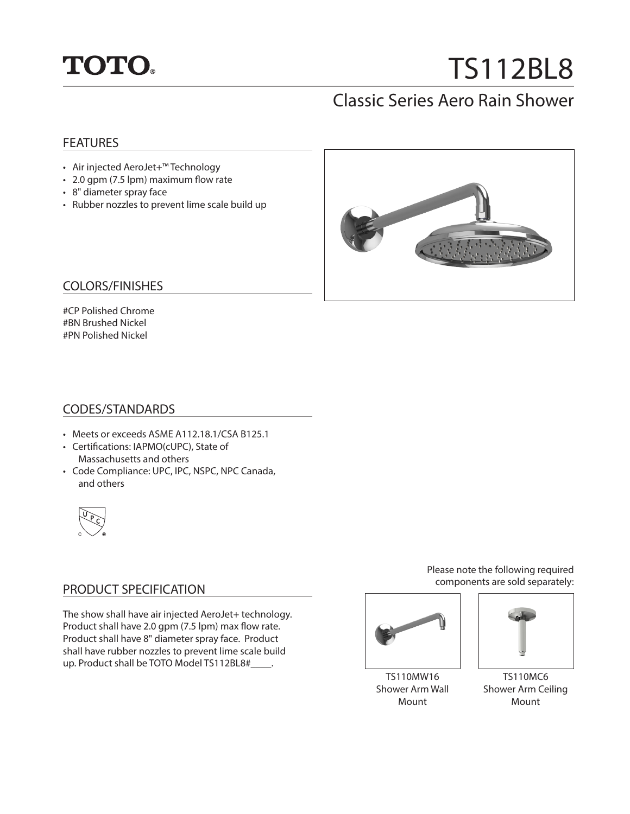

# TS112BL8

# Classic Series Aero Rain Shower

#### **FEATURES**

- Air injected AeroJet+™ Technology
- 2.0 gpm (7.5 lpm) maximum flow rate
- 8" diameter spray face
- Rubber nozzles to prevent lime scale build up



#### COLORS/FINISHES

#CP Polished Chrome #BN Brushed Nickel #PN Polished Nickel

#### CODES/STANDARDS

- Meets or exceeds ASME A112.18.1/CSA B125.1
- Certifications: IAPMO(cUPC), State of Massachusetts and others
- Code Compliance: UPC, IPC, NSPC, NPC Canada, and others



### PRODUCT SPECIFICATION

The show shall have air injected AeroJet+ technology. Product shall have 2.0 gpm (7.5 lpm) max flow rate. Product shall have 8" diameter spray face. Product shall have rubber nozzles to prevent lime scale build up. Product shall be TOTO Model TS112BL8#\_\_\_\_\_.

Please note the following required components are sold separately:



TS110MW16 Shower Arm Wall Mount



TS110MC6 Shower Arm Ceiling Mount